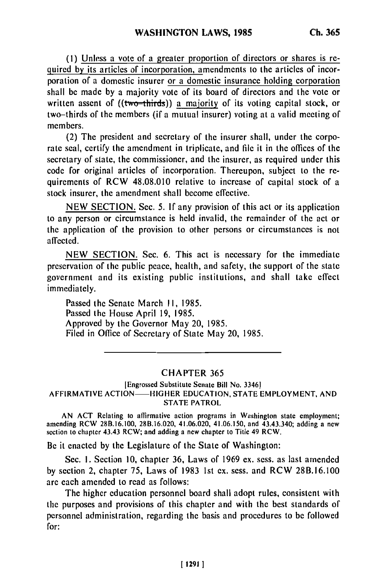(I) Unless a vote of a greater proportion of directors or shares is required by its articles of incorporation, amendments to the articles of incorporation of a domestic insurer or a domestic insurance holding corporation shall be made **by** a majority vote of its board of directors and the vote or written assent of  $((two-thirds))$  a majority of its voting capital stock, or two-thirds of the members (if a mutual insurer) voting at a valid meeting of members.

(2) The president and secretary of the insurer shall, under the corporate seal, certify the amendment in triplicate, and file it in the offices of the secretary of state, the commissioner, and the insurer, as required under this code for original articles of incorporation. Thereupon, subject to the requirements of RCW 48.08.010 relative to increase of capital stock of a stock insurer, the amendment shall become effective.

NEW SECTION. Sec. 5. **If** any provision of this act or its application to any person or circumstance is held invalid, the remainder of the act or the application of the provision to other persons or circumstances is not affected.

NEW SECTION. Sec. 6. This act is necessary for the immediate preservation of the public peace, health, and safety, the support of the state government and its existing public institutions, and shall take effect immediately.

Passed the Senate March II, 1985. Passed the House April **19,** 1985. Approved **by** the Governor May 20, 1985. Filed in Office of Secretary of State May 20, 1985.

## CHAPTER 365

[Engrossed Substitute Senate Bill No. 33461 AFFIRMATIVE **ACTION-HIGHER EDUCATION, STATE** EMPLOYMENT, **AND** STATE PATROL

AN ACT Rclating to affirmative action programs in Washington state employment; amending RCW 28B.16.100, 28B.16.020, 41.06.020, 41.06.150, and 43.43.340; adding a new section to chapter 43.43 RCW; and adding a new chapter to Title 49 RCW.

Be it enacted **by** the Legislature of the State of Washington:

Sec. **1.** Section **10,** chapter 36, Laws of 1969 **ex.** sess. as last amended **by** section 2, chapter **75,** Laws of 1983 1st **ex.** sess. and RCW **28B.16.100** are each amended to read as follows:

The higher education personnel board shall adopt rules, consistent with the purposes and provisions of this chapter and with the best standards of personnel administration, regarding the basis and procedures to be followed for: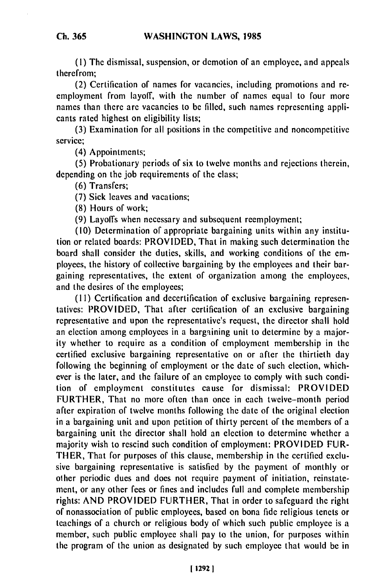**(1)** The dismissal, suspension, or demotion of an employee, and appeals therefrom;

**(2)** Certification of names for vacancies, including promotions and **re**employment from layoff, with the number of names equal to four more names than there are vacancies to **be filled,** such names representing applicants rated highest on eligibility lists;

(3) Examination for all positions in the competitive and noncompetitive service;

(4) Appointments;

**(5)** Probationary periods of six to twelve months and rejections therein, depending on the job requirements of the class;

(6) Transfers;

(7) Sick leaves and vacations;

(8) Hours of work;

(9) Layoffs when necessary and subsequent reemployment;

(10) Determination of appropriate bargaining units within any institution or related boards: PROVIDED, That in making such determination the board shall consider the duties, skills, and working conditions of the employees, the history of collective bargaining by the employees and their bargaining representatives, the extent of organization among the employees, and the desires of the employees;

**(1i)** Certification and decertification of exclusive bargaining representatives: PROVIDED, That after certification of an exclusive bargaining representative and upon the representative's request, the director shall hold an election among employees in a bargaining unit to determine by a majority whether to require as a condition of employment membership in the certified exclusive bargaining representative on or after the thirtieth day following the beginning of employment or the date of such election, whichever is the later, and the failure of an employee to comply with such condition of employment constitutes cause for dismissal: PROVIDED FURTHER, That no more often than once in each twelve-month period after expiration of twelve months following the date of the original election in a bargaining unit and upon petition of thirty percent of the members of a bargaining unit the director shall hold an election to determine whether a majority wish to rescind such condition of employment: PROVIDED FUR-THER, That for purposes of this clause, membership in the certified exclusive bargaining representative is satisfied by the payment of monthly or other periodic dues and does not require payment of initiation, reinstatement, or any other fees or fines and includes full and complete membership rights: AND PROVIDED FURTHER, That in order to safeguard the right of nonassociation of public employees, based on bona fide religious tenets or teachings of a church or religious body of which such public employee is a member, such public employee shall pay to the union, for purposes within the program of the union as designated by such employee that would be in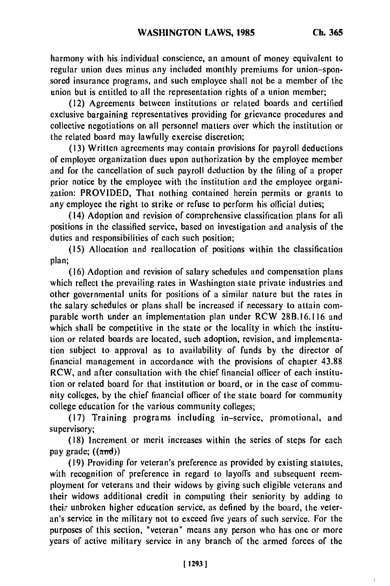harmony with his individual conscience, an amount of money equivalent to regular union dues minus any included monthly premiums for union-sponsored insurance programs, and such employee shall not be a member of the union but is entitled to all the representation rights of a union member;

(12) Agreements between institutions or related boards and certified exclusive bargaining representatives providing for grievance procedures and collective negotiations on all personnel matters over which the institution or the related board may lawfully exercise discretion;

(13) Written agreements may contain provisions for payroll deductions of employee organization dues upon authorization by the employee member and for the cancellation of such payroll deduction by the filing of a proper prior notice by the employee with the institution and the employee organization: PROVIDED, That nothing contained herein permits or grants to any employee the right to strike or refuse to perform his official duties;

(14) Adoption and revision of comprehensive classification plans for all positions in the classified service, based on investigation and analysis of the duties and responsibilities of each such position;

(15) Allocation and reallocation of positions within the classification plan;

(16) Adoption and revision of salary schedules and compensation plans which reflect the prevailing rates in Washington state private industries and other governmental units for positions of a similar nature but the rates in the salary schedules or plans shall be increased if necessary to attain comparable worth under an implementation plan under RCW 28B.16.116 and which shall be competitive in the state or the locality in which the institution or related boards are located, such adoption, revision, and implementation subject to approval as to availability of funds by the director of financial management in accordance with the provisions of chapter 43.88 RCW, and after consultation with the chief financial officer of each institution or related board for that institution or board, or in the case of community colleges, by the chief financial officer of the state board for community college education for the various community colleges;

(17) Training programs including in-service, promotional, and supervisory;

(18) Increment or merit increases within the series of steps for each pay grade;  $((\text{and}))$ 

(19) Providing for veteran's preference as provided by existing statutes, with recognition of preference in regard to layoffs and subsequent reemployment for veterans and their widows by giving such eligible veterans and their widows additional credit in computing their seniority by adding to their unbroken higher education service, as defined by the board, the veteran's service in the military not to exceed five years of such service. For the purposes of this section, "veteran" means any person who has one or more years of active military service in any branch of the armed forces of the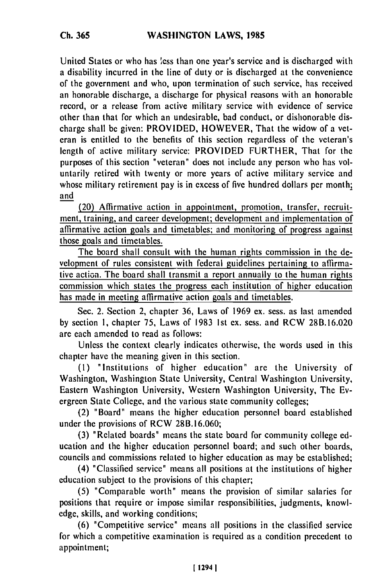**Ch. 365**

United States or who has less than one year's service and is discharged with a disability incurred in the line of duty or is discharged at the convenience of the government and who, upon termination of such service, has received an honorable discharge, a discharge for physical reasons with an honorable record, or a release from active military service with evidence of service other than that for which an undesirable, bad conduct, or dishonorable discharge shall be given: PROVIDED, HOWEVER, That the widow of a veteran is entitled to the benefits of this section regardless of the veteran's length of active military service: PROVIDED FURTHER, That for the purposes of this section "veteran" does not include any person who has voluntarily retired with twenty or more years of active military service and whose military retirement pay is in excess of five hundred dollars per month; and

(20) Affirmative action in appointment, promotion, transfer, recruitment, training, and career development; development and implementation of affirmative action goals and timetables; and monitoring of progress against those goals and timetables.

The board shall consult with the human rights commission in the development of rules consistent with federal guidelines pertaining to affirmative action. The board shall transmit a report annually to the human rights commission which states the progress each institution of higher education has made in meeting affirmative action goals and timetables.

Sec. 2. Section 2, chapter 36, Laws of 1969 ex. sess. as last amended by section **1,** chapter 75, Laws of 1983 Ist ex. sess. and RCW 28B.16.020 are each amended to read as follows:

Unless the context clearly indicates otherwise, the words used in this chapter have the meaning given in this section.

(i) "Institutions of higher education" are the University of Washington, Washington State University, Central Washington University, Eastern Washington University, Western Washington University, The Evergreen State College, and the various state community colleges;

(2) "Board" means the higher education personnel board established under the provisions of RCW 28B.16.060;

(3) "Related boards" means the state board for community college education and the higher education personnel board; and such other boards, councils and commissions related to higher education as may be established;

(4) "Classified service" means all positions at the institutions of higher education subject to the provisions of this chapter;

(5) 'Comparable worth" means the provision of similar salaries for positions that require or impose similar responsibilities, judgments, knowledge, skills, and working conditions;

(6) "Competitive service" means all positions in the classified service for which a competitive examination is required as a condition precedent to appointment;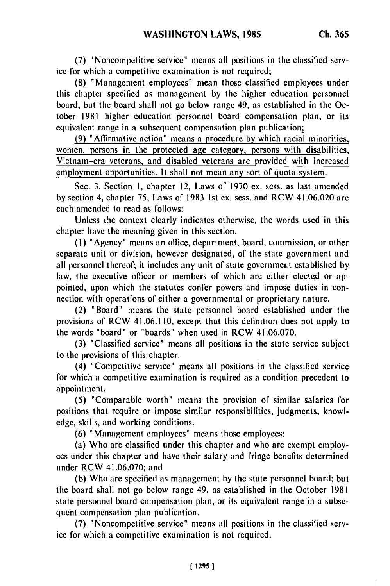**(7)** "Noncompetitive service" means all positions in the classified service for which a competitive examination is not required;

(8) "Management employees" mean those classified employees under this chapter specified as management by the higher education personnel board, but the board shall not go below range 49, as established in the October 1981 higher education personnel board compensation plan, or its equivalent range in a subsequent compensation plan publication;

**(9)** "Affirmative action" means a procedure by which racial minorities, women, persons in the protected age category, persons with disabilities, Vietnam-era veterans, and disabled veterans are provided with increased employment opportunities. It shall not mean any sort of quota system.

Sec. 3. Section 1, chapter 12, Laws of 1970 ex. sess. as last amended by section 4, chapter 75, Laws of 1983 **1st** ex. sess. and RCW 41.06.020 are each amended to read as follows:

Unless the context clearly indicates otherwise, the words used in this chapter have the meaning given in this section.

(I) "Agency" means an office, department, board, commission, or other separate unit or division, however designated, of the state government and all personnel thereof; it includes any unit of state government established by law, the executive officer or members of which are either elected or appointed, upon which the statutes confer powers and impose duties in connection with operations of either a governmental or proprietary nature.

(2) "Board" means the state personnel board established under the provisions of RCW 41.06.110, except that this definition does not apply to the words "board" or "boards" when used in RCW 41.06.070.

(3) "Classified service" means all positions in the state service subject to the provisions of this chapter.

(4) "Competitive service" means all positions in the classified service for which a competitive examination is required as a condition precedent to appointment.

(5) "Comparable worth" means the provision of similar salaries for positions that require or impose similar responsibilities, judgments, knowledge, skills, and working conditions.

(6) "Management employees" means those employees:

(a) Who are classified under this chapter and who are exempt employees under this chapter and have their salary and fringe benefits determined under RCW 41.06.070; and

(b) Who are specified as management by the state personnel board; but the board shall not go below range 49, as established in the October 1981 state personnel board compensation plan, or its equivalent range in a subsequent compensation plan publication.

(7) "Noncompetitive service" means all positions in the classified service for which a competitive examination is not required.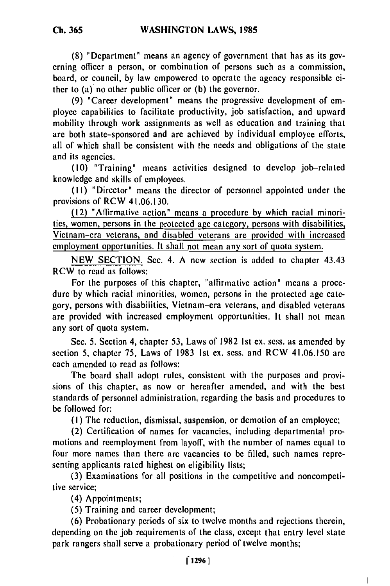(8) "Department" means an agency of government that has as its governing officer a person, or combination of persons such as a commission, board, or council, by law empowered to operate the agency responsible either to (a) no other public officer or (b) the governor.

(9) "Career development" means the progressive development of employee capabilities to facilitate productivity, job satisfaction, and upward mobility through work assignments as well as education and training that are both state-sponsored and are achieved by individual employee efforts, all of which shall be consistent with the needs and obligations of the state and its agencies.

(10) "Training" means activities designed to develop job-related knowledge and skills of employees.

(1I) "Director" means the director of personnel appointed under the provisions of RCW 41.06.130.

(12) "Affirmative action" means a procedure by which racial minorities, women, persons in the protected age category, persons with disabilities, Vietnam-era veterans, and disabled veterans are provided with increased employment opportunities. It shall not mean any sort of quota system.

NEW SECTION. Sec. 4. A new section is added to chapter 43.43 RCW to read as follows:

For the purposes of this chapter, "affirmative action" means a procedure by which racial minorities, women, persons in the protected age category, persons with disabilities, Vietnam-era veterans, and disabled veterans are provided with increased employment opportunities. It shall not mean any sort of quota system.

Sec. 5. Section 4, chapter 53, Laws of 1982 1st ex. sess. as amended by section 5, chapter 75, Laws of 1983 Ist ex. sess. and RCW 41.06.150 are each amended to read as follows:

The board shall adopt rules, consistent with the purposes and provisions of this chapter, as now or hereafter amended, and with the best standards of personnel administration, regarding the basis and procedures to be followed for:

(I) The reduction, dismissal, suspension, or demotion of an employee;

(2) Certification of names for vacancies, including departmental promotions and reemployment from layoff, with the number of names equal to four more names than there are vacancies to be filled, such names representing applicants rated highest on eligibility lists;

(3) Examinations for all positions in the competitive and noncompetitive service;

(4) Appointments;

(5) Training and career development;

(6) Probationary periods of six to twelve months and rejections therein, depending on the job requirements of the class, except that entry level state park rangers shall serve a probationary period of twelve months;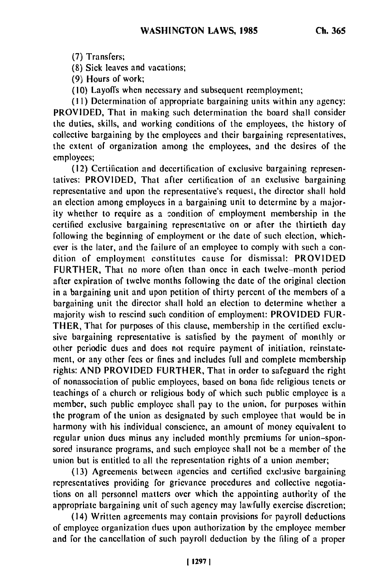(7) Transfers;

(8) Sick leaves and vacations;

(9) Hours of work;

(10) Layoffs when necessary and subsequent reemployment;

(!1) Determination of appropriate bargaining units within any agency: PROVIDED, That in making such determination the board shall consider the duties, skills, and working conditions of the employees, the history of collective bargaining by the employees and their bargaining representatives, the extent of organization among the employees, and the desires of the employees;

(12) Certification and decertification of exclusive bargaining representatives: PROVIDED, That after certification of an exclusive bargaining representative and upon the representative's request, the director shall hold an election among employees in a bargaining unit to determine by a majority whether to require as a condition of employment membership in the certified exclusive bargaining representative on or after the thirtieth day following the beginning of employment or the date of such election, whichever is the later, and the failure of an employee to comply with such a condition of employment constitutes cause for dismissal: PROVIDED FURTHER, That no more often than once in each twelve-month period after expiration of twelve months following the date of the original election in a bargaining unit and upon petition of thirty percent of the members of a bargaining unit the director shall hold an election to determine whether a majority wish to rescind such condition of employment: PROVIDED FUR-THER, That for purposes of this clause, membership in the certified exclusive bargaining representative is satisfied by the payment of monthly or other periodic dues and does not require payment of initiation, reinstatement, or any other fees or fines and includes full and complete membership rights: AND PROVIDED FURTHER, That in order to safeguard the right of nonassociation of public employees, based on bona fide religious tenets or teachings of a church or religious body of which such public employee is a member, such public employee shall pay to the union, for purposes within the program of the union as designated by such employee that would be in harmony with his individual conscience, an amount of money equivalent to regular union dues minus any included monthly premiums for union-sponsored insurance programs, and such employee shall not be a member of the union but is entitled to all the representation rights of a union member;

(13) Agreements between agencies and certified exclusive bargaining representatives providing for grievance procedures and collective negotiations on all personnel matters over which the appointing authority of the appropriate bargaining unit of such agency may lawfully exercise discretion;

(14) Written agreements may contain provisions for payroll deductions of employee organization dues upon authorization by the employee member and for the cancellation of such payroll deduction by the filing of a proper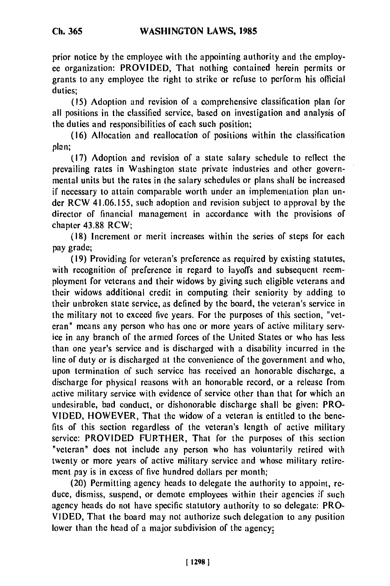prior notice **by the** employee with the appointing authority and the employec organization: PROVIDED, That nothing contained herein permits or grants to any employee the right to strike or refuse to perform his official duties;

**(15)** Adoption and revision of a comprehensive classification plan for all positions in the classified service, based on investigation and analysis of the duties and responsibilities of each such position;

(16) Allocation and reallocation of positions within the classification **plan;**

**(17)** Adoption and revision of a state salary schedule to reflect the prevailing rates in Washington state private industries and other governmental units but the rates in the salary schedules or plans shall be increased if necessary to attain comparable worth under an implementation plan un**der** RCW 41.06.155, such adoption and revision subject to approval **by** the director of financial management in accordance with the provisions of chapter **43.88** RCW;

**(18)** Increment or merit increases within the series of steps for each pay grade;

**(19)** Providing for veteran's preference as required **by** existing statutes, with recognition of preference in regard to layoffs and subsequent reemployment for veterans and their widows **by** giving such eligible veterans and their widows additional credit in computing their seniority **by** adding to their unbroken state service, as defined **by** the board, the veteran's service in the military not to exceed five years. For the purposes of this section, "veteran" means any person who has one or more years of active military service in any branch of the armed forces of the United States or who has less than one year's service and is discharged with a disability incurred in the line of duty or is discharged at the convenience of the government and who, upon termination of such service has received an honorable discharge, a discharge for physical reasons with an honorable record, or a release from active military service with evidence of service other than that for which an undesirable, bad conduct, or dishonorable discharge shall be given: PRO-**VIDED,** HOWEVER, That the widow of a veteran is entitled to the benefits of this section regardless of the veteran's length of active military service: PROVIDED FURTHER, That for the purposes of this section "veteran" does not include any person who has voluntarily retired with twenty or more years of active military service and whose military retirement pay is in excess of five hundred dollars per month;

(20) Permitting agency heads to delegate the authority to appoint, reduce, dismiss, suspend, or demote employees within their agencies if such agency heads do not have specific statutory authority to so delegate: PRO-**VIDED,** That the board may not authorize such delegation to any position lower than the head of a major subdivision of the agency;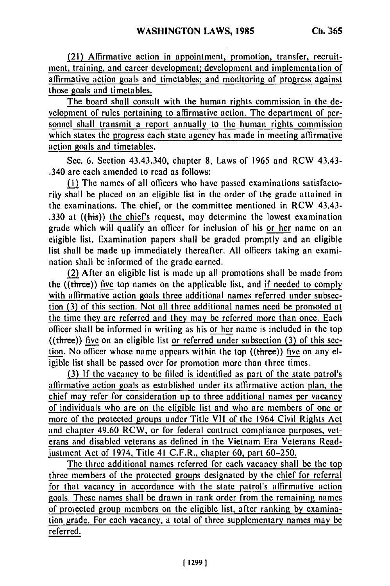(21) Affirmative action in appointment, promotion, transfer, recruitment, training, and career development; development and implementation of affirmative action goals and timetables; and monitoring of progress against those goals and timetables.

The board shall consult with the human rights commission in the development of rules pertaining to affirmative action. The department of personnel shall transmit a report annually to the human rights commission which states the progress each state agency has made in meeting affirmative action goals and timetables.

Sec. 6. Section 43.43.340, chapter **8,** Laws of 1965 and RCW 43.43- .340 are each amended to read as follows:

(I) The names of all officers who have passed examinations satisfactorily shall be placed on an eligible list in the order of the grade attained in the examinations. The chief, or the committee mentioned in RCW 43.43- .330 at  $(\text{this})$  the chief's request, may determine the lowest examination grade which will qualify an officer for inclusion of his or her name on an eligible list. Examination papers shall be graded promptly and an eligible list shall be made up immediately thereafter, All officers taking an examination shall be informed of the grade earned.

(2) After an eligible list is made up all promotions shall be made from the  $((three))$  five top names on the applicable list, and if needed to comply with affirmative action goals three additional names referred under subsection (3) of this section. Not all three additional names need be promoted at the time they are referred and they may be referred more than once. Each officer shall be informed in writing as his or her name is included in the top  $((three))$  five on an eligible list or referred under subsection (3) of this section. No officer whose name appears within the top ((three)) five on any eligible list shall be passed over for promotion more than three times.

**(3)** If the vacancy to be filled is identified as part of the state patrol's affirmative action goals as established under its affirmative action plan, the chief may refer for consideration up to three additional names per vacancy of individuals who are on the eligible list and who are members of one or more of the protected groups under Title VII of the 1964 Civil Rights Act and chapter 49.60 RCW, or for federal contract compliance purposes, veterans and disabled veterans as defined in the Vietnam Era Veterans Readiustment Act of 1974, Title 41 C.F.R., chapter 60, part 60-250.

The three additional names referred for each vacancy shall be the top three members of the protected groups designated by the chief for referral for that vacancy in accordance with the state patrol's affirmative action goals. These names shall be drawn in rank order from the remaining names of protected group members on the eligible list, after ranking by examination grade. For each vacancy, a total of three supplementary names may be referred.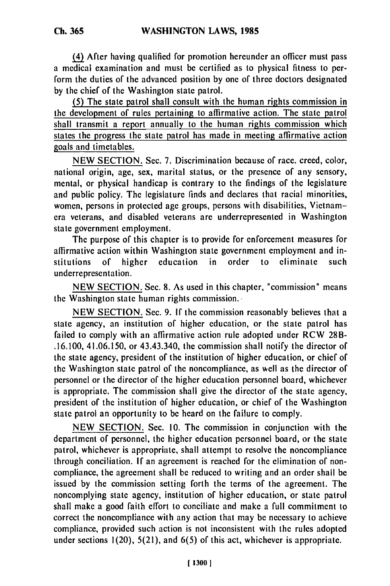(4) After having qualified for promotion hereunder an officer must pass a medical examination and must be certified as to physical fitness to perform the duties of the advanced position **by** one of three doctors designated **by** the chief of the Washington state patrol.

**(5)** The state patrol shall consult with the human rights commission in the development of rules pertaining to affirmative action. The state patrol shall transmit a report annually to the human rights commission which states the progress the state patrol has made in meeting affirmative action goals and timetables.

NEW SECTION. Sec. 7. Discrimination because of race. creed, color, national origin, age, sex, marital status, or the presence of any sensory, mental, or physical handicap is contrary to the findings of the legislature and public policy. The legislature finds and declares that racial minorities, women, persons in protected age groups, persons with disabilities, Vietnamera veterans, and disabled veterans are underrepresented in Washington state government employment.

The purpose of this chapter is to provide for enforcement measures for affirmative action within Washington state government employment and institutions of higher education in order to eliminate such stitutions of higher<br>underrepresentation.

NEW SECTION. Sec. **8.** As used in this chapter, "commission" means the Washington state human rights commission..

NEW SECTION. Sec. 9. If the commission reasonably believes that a state agency, an institution of higher education, or the state patrol has failed to comply with an affirmative action rule adopted under RCW 28B- .16.100, 41.06.150, or 43.43.340, the commission shall notify the director of the state agency, president of the institution of higher education, or chief of the Washington state patrol of the noncompliance, as well as the director of personnel or the director of the higher education personnel board, whichever is appropriate. The commission shall give the director of the state agency, president of the institution of higher education, or chief of the Washington state patrol an opportunity to be heard on the failure to comply.

NEW SECTION. Sec. 10. The commission in conjunction with the department of personnel, the higher education personnel board, or the state patrol, whichever is appropriate, shall attempt to resolve the noncompliance through conciliation. If an agreement is reached for the elimination of noncompliance, the agreement shall **be** reduced to writing and an order shall be issued **by** the commission setting forth the terms of the agreement. The noncomplying state agency, institution of higher education, or state patrol shall make a good faith effort to conciliate and make a full commitment to correct the noncompliance with any action that may be necessary to achieve compliance, provided such action is not inconsistent with the rules adopted under sections 1(20), 5(21), and 6(5) of this act, whichever is appropriate.